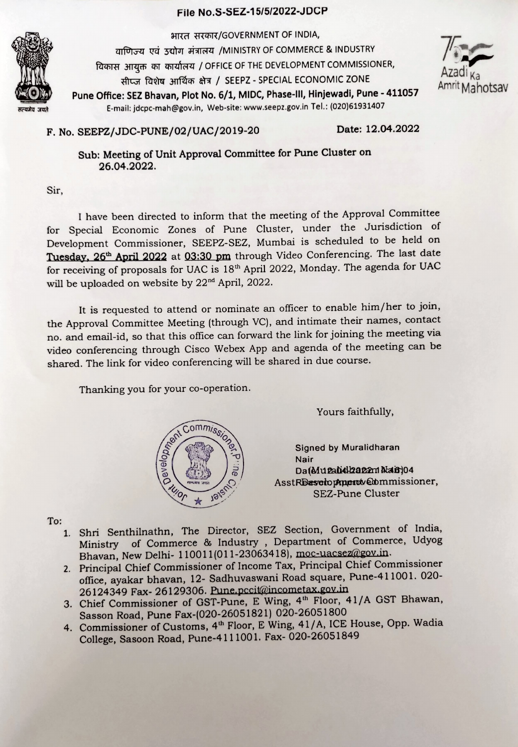## File No.S-SEZ-15/5/2022-JDCP



भारत सरकार/GOVERNMENT OF INDIA, वाणिज्य एवं उद्योग मंत्रालय /MINISTRY OF COMMERCE & INDUSTRY विकास आयुक्त का कार्यालय / OFFICE OF THE DEVELOPMENT COMMISSIONER, सीप्ज विशेष आर्थिक क्षेत्र / SEEPZ - SPECIAL ECONOMIC ZONE Pune Office: SEZ Bhavan, Plot No. 6/1, MIDC, Phase-III, Hinjewadi, Pune - 411057 Amrit Mahotsav E-mail: jdcpc-mah@gov.in, Web-site: www.seepz.gov.in Tel.: (020)61931407



Date: 12.04.2022 F. No. SEEPZ/JDC-PUNE/02/UAC/2019-20

Sub: Meeting of Unit Approval Committee for Pune Cluster on 26.04.2022.

Sir,

I have been directed to inform that the meeting of the Approval Committee for Special Economic Zones of Pune Cluster, under the Jurisdiction of Development Commissioner, SEEPZ-SEZ, Mumbai is scheduled to be held on Tuesday, 26<sup>th</sup> April 2022 at 03:30 pm through Video Conferencing. The last date for receiving of proposals for UAC is 18th April 2022, Monday. The agenda for UAC will be uploaded on website by 22<sup>nd</sup> April, 2022.

It is requested to attend or nominate an officer to enable him/her to join, the Approval Committee Meeting (through VC), and intimate their names, contact no. and email-id, so that this office can forward the link for joining the meeting via video conferencing through Cisco Webex App and agenda of the meeting can be shared. The link for video conferencing will be shared in due course.

Thanking you for your co-operation.



Yours faithfully,

Nair Da(Muzabdhazam Mair)04 AsstR**Dasotopmenot Commissioner**,<br>
SEZ-Pune Cluster

To:

- 1. Shri Senthilnathn, The Director, SEZ Section, Government of India, Ministry Bhavan, New Delhi- 110011(011-23063418), moc-uacsez@gov.in. of Commerce & Industry, Department of Commerce, Udyoog
- 2. Principal Chief Commissioner of Income Tax, Principal Chief Commissioner office, ayakar bhavan, 12- Sadhuvaswani Road square, Pune-411001. 020- 26124349 Fax- 26129306. Pune.pccit@incometax.gov.in
- 3. Chief Commissioner of GST-Pune, E Wing, 4<sup>th</sup> Floor, 41/A GST Bhawan, Sasson Road, Pune Fax-(020-26051821) 020-26051800
- 4. Commissioner of Customs, 4<sup>th</sup> Floor, E Wing, 41/A, ICE House, Opp. Wadia College, Sasoon Road, Pune-411 1001. Fax- 020-26051849